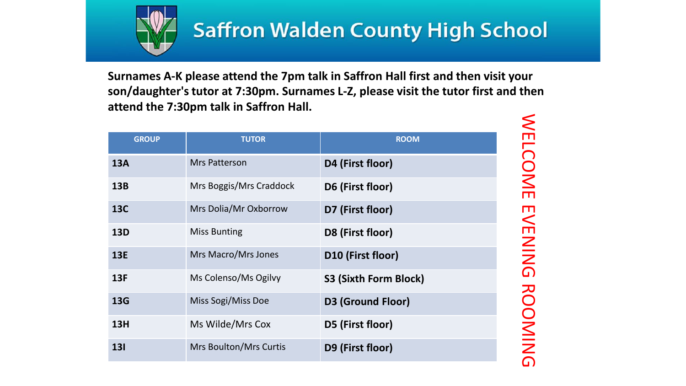

### **Saffron Walden County High School**

**Surnames A-K please attend the 7pm talk in Saffron Hall first and then visit your son/daughter'stutor at 7:30pm. Surnames L-Z, please visit the tutor first and then attend the 7:30pm talk in Saffron Hall.**

| <b>GROUP</b> | <b>TUTOR</b>                  | <b>ROOM</b>              |
|--------------|-------------------------------|--------------------------|
| <b>13A</b>   | <b>Mrs Patterson</b>          | D4 (First floor)         |
| 13B          | Mrs Boggis/Mrs Craddock       | D6 (First floor)         |
| <b>13C</b>   | Mrs Dolia/Mr Oxborrow         | D7 (First floor)         |
| <b>13D</b>   | <b>Miss Bunting</b>           | D8 (First floor)         |
| <b>13E</b>   | Mrs Macro/Mrs Jones           | D10 (First floor)        |
| 13F          | Ms Colenso/Ms Ogilvy          | S3 (Sixth Form Block)    |
| <b>13G</b>   | Miss Sogi/Miss Doe            | <b>D3 (Ground Floor)</b> |
| <b>13H</b>   | Ms Wilde/Mrs Cox              | D5 (First floor)         |
| <b>131</b>   | <b>Mrs Boulton/Mrs Curtis</b> | D9 (First floor)         |

WELCOME EVENING ROOMING **WELCOME EVENING ROOMING**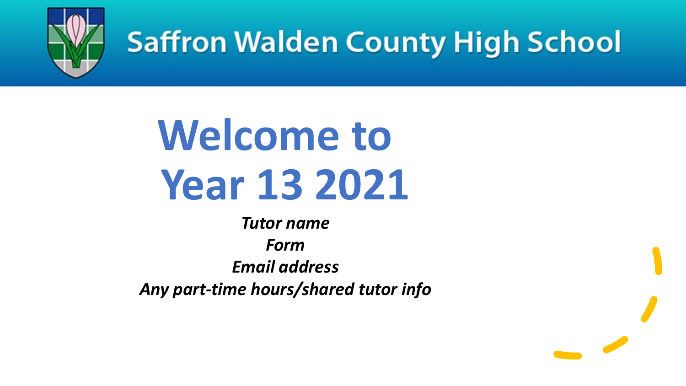

## **Saffron Walden County High School**

# **Welcome to Year 13 2021**

*Tutor name Form Email address Any part-time hours/shared tutor info*

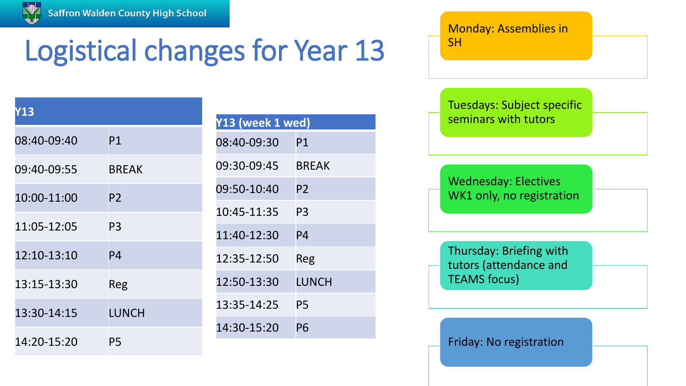

## Logistical changes for Year 13

| <b>Y13</b>  |                |
|-------------|----------------|
| 08:40-09:40 | P1             |
| 09:40-09:55 | <b>BREAK</b>   |
| 10:00-11:00 | P <sub>2</sub> |
| 11:05-12:05 | P3             |
| 12:10-13:10 | P <sub>4</sub> |
| 13:15-13:30 | Reg            |
| 13:30-14:15 | LUNCH          |
| 14:20-15:20 | P5             |

| Y13 (week 1 wed) |                |  |  |
|------------------|----------------|--|--|
| 08:40-09:30      | P1             |  |  |
| 09:30-09:45      | <b>BREAK</b>   |  |  |
| 09:50-10:40      | P2             |  |  |
| 10:45-11:35      | P <sub>3</sub> |  |  |
| 11:40-12:30      | P4             |  |  |
| 12:35-12:50      | Reg            |  |  |
| 12:50-13:30      | LUNCH          |  |  |
| 13:35-14:25      | P5             |  |  |
| 14:30-15:20      | P6             |  |  |

Monday: Assemblies in **SH** 

Tuesdays: Subject specific seminars with tutors

Wednesday: Electives WK1 only, no registration

Thursday: Briefing with tutors (attendance and TEAMS focus)

Friday: No registration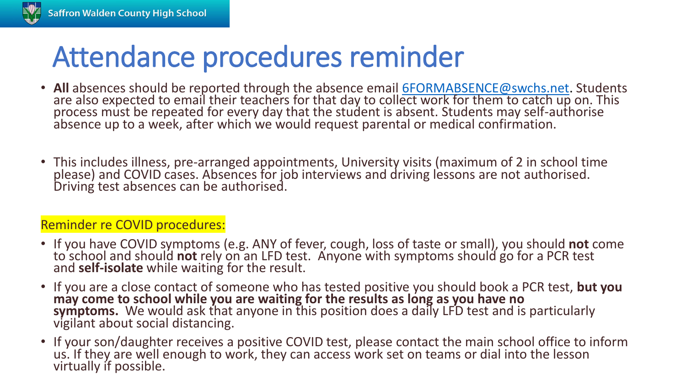### Attendance procedures reminder

- All absences should be reported through the absence email **[6FORMABSENCE@swchs.net](mailto:6FORMABSENCE@swchs.net)**. Students are also expected to email their teachers for that day to collect work for them to catch up on. This process must be repeated for every day that the student is absent. Students may self-authorise absence up to a week, after which we would request parental or medical confirmation.
- This includes illness, pre-arranged appointments, University visits (maximum of 2 in school time please) and COVID cases. Absences for job interviews and driving lessons are not authorised. Driving test absences can be authorised.

### Reminder re COVID procedures:

- If you have COVID symptoms (e.g. ANY of fever, cough, loss of taste or small), you should **not** come to school and should **not** rely on an LFD test. Anyone with symptoms should go for a PCR test and **self-isolate** while waiting for the result.
- If you are a close contact of someone who has tested positive you should book a PCR test, **but you may come to school while you are waiting for the results as long as you have no**  symptoms. We would ask that anyone in this position does a daily LFD test and is particularly vigilant about social distancing.
- If your son/daughter receives a positive COVID test, please contact the main school office to inform us. If they are well enough to work, they can access work set on teams or dial into the lesson virtually if possible.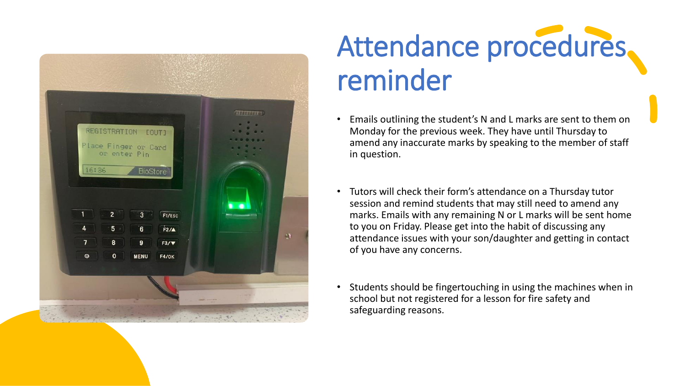

## Attendance procedures. reminder

- Emails outlining the student's N and L marks are sent to them on Monday for the previous week. They have until Thursday to amend any inaccurate marks by speaking to the member of staff in question.
- Tutors will check their form's attendance on a Thursday tutor session and remind students that may still need to amend any marks. Emails with any remaining N or L marks will be sent home to you on Friday. Please get into the habit of discussing any attendance issues with your son/daughter and getting in contact of you have any concerns.
- Students should be fingertouching in using the machines when in school but not registered for a lesson for fire safety and safeguarding reasons.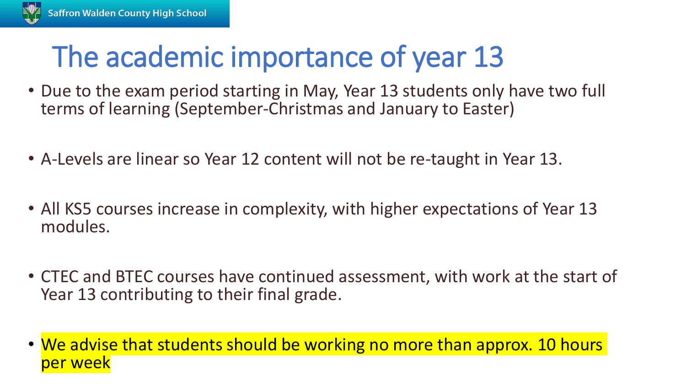### The academic importance of year 13

- Due to the exam period starting in May, Year 13 students only have two full terms of learning (September-Christmas and January to Easter)
- A-Levels are linear so Year 12 content will not be re-taught in Year 13.
- All KS5 courses increase in complexity, with higher expectations of Year 13 modules.
- CTEC and BTEC courses have continued assessment, with work at the start of Year 13 contributing to their final grade.
- We advise that students should be working no more than approx. 10 hours per week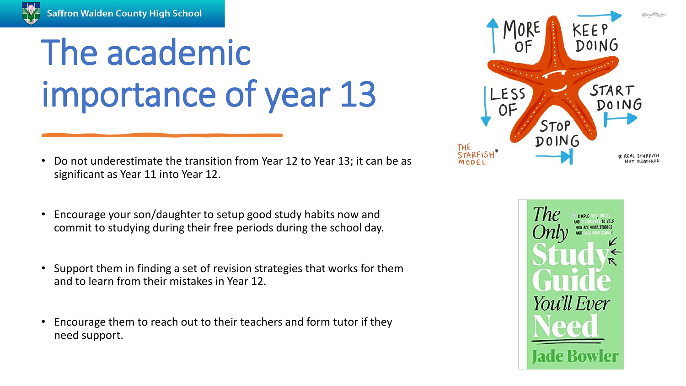

# The academic importance of year 13

- Do not underestimate the transition from Year 12 to Year 13; it can be as significant as Year 11 into Year 12.
- Encourage your son/daughter to setup good study habits now and commit to studying during their free periods during the school day.
- Support them in finding a set of revision strategies that works for them and to learn from their mistakes in Year 12.
- Encourage them to reach out to their teachers and form tutor if they need support.



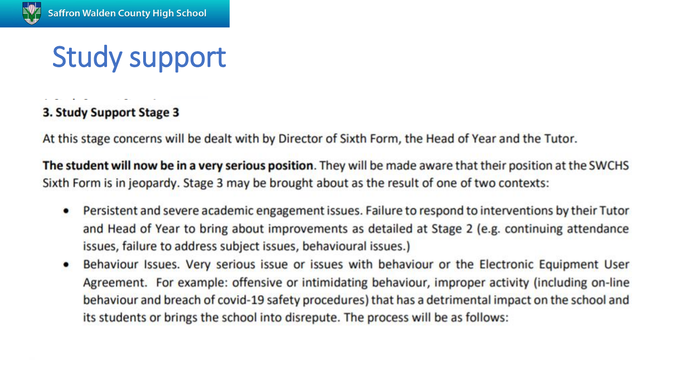### Study support

### 3. Study Support Stage 3

At this stage concerns will be dealt with by Director of Sixth Form, the Head of Year and the Tutor.

The student will now be in a very serious position. They will be made aware that their position at the SWCHS Sixth Form is in jeopardy. Stage 3 may be brought about as the result of one of two contexts:

- Persistent and severe academic engagement issues. Failure to respond to interventions by their Tutor and Head of Year to bring about improvements as detailed at Stage 2 (e.g. continuing attendance issues, failure to address subject issues, behavioural issues.)
- Behaviour Issues. Very serious issue or issues with behaviour or the Electronic Equipment User Agreement. For example: offensive or intimidating behaviour, improper activity (including on-line behaviour and breach of covid-19 safety procedures) that has a detrimental impact on the school and its students or brings the school into disrepute. The process will be as follows: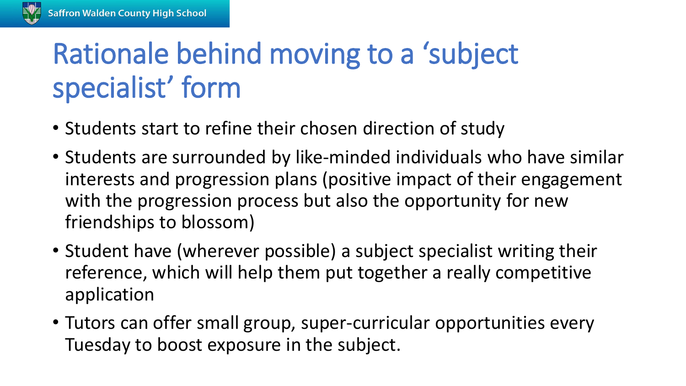## Rationale behind moving to a 'subject specialist' form

- Students start to refine their chosen direction of study
- Students are surrounded by like-minded individuals who have similar interests and progression plans (positive impact of their engagement with the progression process but also the opportunity for new friendships to blossom)
- Student have (wherever possible) a subject specialist writing their reference, which will help them put together a really competitive application
- Tutors can offer small group, super-curricular opportunities every Tuesday to boost exposure in the subject.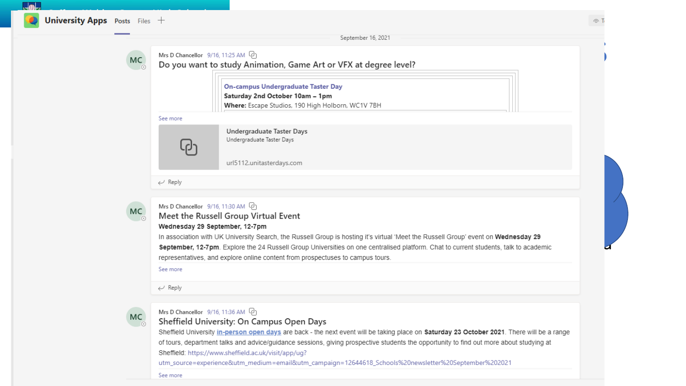$\Box$ 

|    | SCRIPTING TANK CAST                                                                                                    |  |
|----|------------------------------------------------------------------------------------------------------------------------|--|
| MC | Mrs D Chancellor $9/16$ , 11:25 AM $\left[\right]$<br>Do you want to study Animation, Game Art or VFX at degree level? |  |

On-campus Undergraduate Taster Day<br>Saturday 2nd October 10am – 1pm<br>Where: Escape Studios, 190 High Holborn, WC1V 7BH

### See more

experience and the personalized provide a lot of personalized provide a lot of personalized provide provide provide the personalized provide provide the state personalized provide the state  $\overline{P}$ 

mostly through our 15112 unitasterdays.com<br>The contract provision but also in form time. The contract provision but also in form the contract provision but also in form time. The contract provision but also in form the con

 $\leftarrow$  Reply



### Mrs D Chancellor 9/16, 11:30 AM [2]

### MC<br>
• Meet the Russell Group Virtual Event<br>
• Wednesday 29 September, 12-7pm

In association with UK University Search, the Russell Group is hosting it's virtual 'Meet the Russell Group' event on **Wednesday 29**<br>September, 12-7pm. Explore the 24 Russell Group Universities on one centralised platform. In association with UK University Search, the Russell Group is hosting it's virtual 'Meet the Russell Group' event on Wednesday 29

### See more

 $\leftarrow$  Reply

Mrs D Chancellor 9/16, 11:36 AM <sup>Q</sup> and D and D and D and Covert Will be taking place on **Saturday 23 October 2021**. There will be a range Sheffield University: On Campus Open Days are back - the next event will be taking of tours, department talks and advice/guidance sessions, giving prospective students the opportunity to find out more about studying at<br>Sheffield: https://www.sheffield.ac.uk/visit/app/ug?

utm\_source=experience&utm\_medium=email&utm\_campaign=12644618\_Schools%20newsletter%20September%202021

See more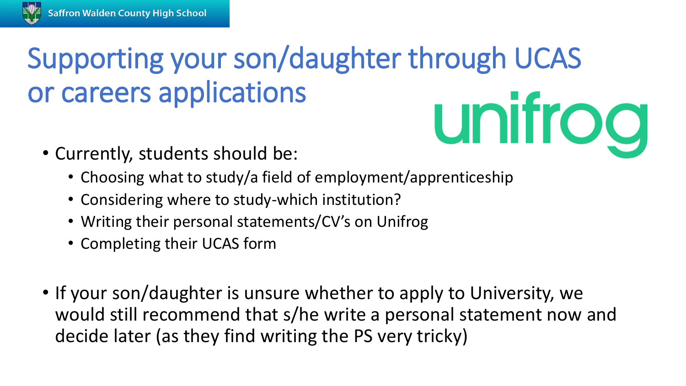## Supporting your son/daughter through UCAS or careers applications unifrog

- Currently, students should be:
	- Choosing what to study/a field of employment/apprenticeship
	- Considering where to study-which institution?
	- Writing their personal statements/CV's on Unifrog
	- Completing their UCAS form
- If your son/daughter is unsure whether to apply to University, we would still recommend that s/he write a personal statement now and decide later (as they find writing the PS very tricky)